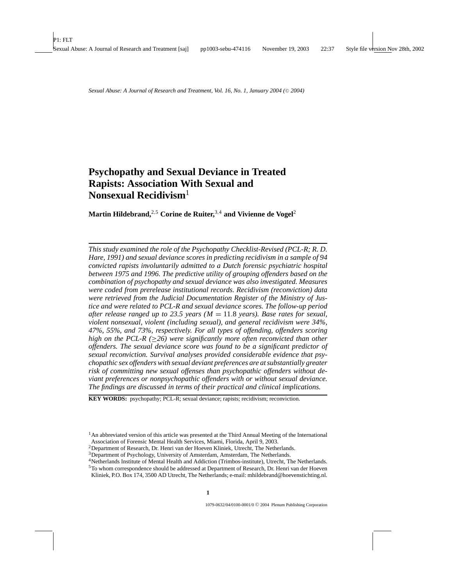# **Psychopathy and Sexual Deviance in Treated Rapists: Association With Sexual and Nonsexual Recidivism**<sup>1</sup>

**Martin Hildebrand,**<sup>2</sup>,<sup>5</sup> **Corine de Ruiter,**<sup>3</sup>,<sup>4</sup> **and Vivienne de Vogel**<sup>2</sup>

*This study examined the role of the Psychopathy Checklist-Revised (PCL-R; R. D. Hare, 1991) and sexual deviance scores in predicting recidivism in a sample of 94 convicted rapists involuntarily admitted to a Dutch forensic psychiatric hospital between 1975 and 1996. The predictive utility of grouping offenders based on the combination of psychopathy and sexual deviance was also investigated. Measures were coded from prerelease institutional records. Recidivism (reconviction) data were retrieved from the Judicial Documentation Register of the Ministry of Justice and were related to PCL-R and sexual deviance scores. The follow-up period after release ranged up to 23.5 years (M* = 11.8 *years). Base rates for sexual, violent nonsexual, violent (including sexual), and general recidivism were 34%, 47%, 55%, and 73%, respectively. For all types of offending, offenders scoring high on the PCL-R (*≥*26) were significantly more often reconvicted than other offenders. The sexual deviance score was found to be a significant predictor of sexual reconviction. Survival analyses provided considerable evidence that psychopathic sex offenders with sexual deviant preferences are at substantially greater risk of committing new sexual offenses than psychopathic offenders without deviant preferences or nonpsychopathic offenders with or without sexual deviance. The findings are discussed in terms of their practical and clinical implications.*

**KEY WORDS:** psychopathy; PCL-R; sexual deviance; rapists; recidivism; reconviction.

<sup>&</sup>lt;sup>1</sup>An abbreviated version of this article was presented at the Third Annual Meeting of the International Association of Forensic Mental Health Services, Miami, Florida, April 9, 2003.

<sup>2</sup>Department of Research, Dr. Henri van der Hoeven Kliniek, Utrecht, The Netherlands.

<sup>&</sup>lt;sup>3</sup>Department of Psychology, University of Amsterdam, Amsterdam, The Netherlands.

<sup>4</sup>Netherlands Institute of Mental Health and Addiction (Trimbos-institute), Utrecht, The Netherlands.

<sup>5</sup>To whom correspondence should be addressed at Department of Research, Dr. Henri van der Hoeven Kliniek, P.O. Box 174, 3500 AD Utrecht, The Netherlands; e-mail: mhildebrand@hoevenstichting.nl.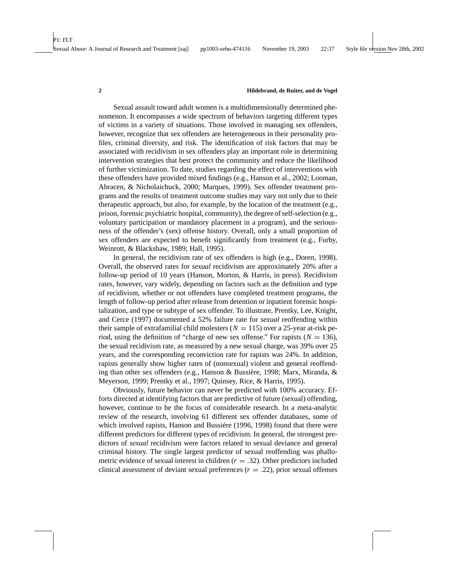Sexual assault toward adult women is a multidimensionally determined phenomenon. It encompasses a wide spectrum of behaviors targeting different types of victims in a variety of situations. Those involved in managing sex offenders, however, recognize that sex offenders are heterogeneous in their personality profiles, criminal diversity, and risk. The identification of risk factors that may be associated with recidivism in sex offenders play an important role in determining intervention strategies that best protect the community and reduce the likelihood of further victimization. To date, studies regarding the effect of interventions with these offenders have provided mixed findings (e.g., Hanson et al., 2002; Looman, Abracen, & Nicholaichuck, 2000; Marques, 1999). Sex offender treatment programs and the results of treatment outcome studies may vary not only due to their therapeutic approach, but also, for example, by the location of the treatment (e.g., prison, forensic psychiatric hospital, community), the degree of self-selection (e.g., voluntary participation or mandatory placement in a program), and the seriousness of the offender's (sex) offense history. Overall, only a small proportion of sex offenders are expected to benefit significantly from treatment (e.g., Furby, Weinrott, & Blackshaw, 1989; Hall, 1995).

In general, the recidivism rate of sex offenders is high (e.g., Doren, 1998). Overall, the observed rates for *sexual* recidivism are approximately 20% after a follow-up period of 10 years (Hanson, Morton, & Harris, in press). Recidivism rates, however, vary widely, depending on factors such as the definition and type of recidivism, whether or not offenders have completed treatment programs, the length of follow-up period after release from detention or inpatient forensic hospitalization, and type or subtype of sex offender. To illustrate, Prentky, Lee, Knight, and Cerce (1997) documented a 52% failure rate for *sexual* reoffending within their sample of extrafamilial child molesters  $(N = 115)$  over a 25-year at-risk period, using the definition of "charge of new sex offense." For rapists  $(N = 136)$ , the sexual recidivism rate, as measured by a new sexual charge, was 39% over 25 years, and the corresponding reconviction rate for rapists was 24%. In addition, rapists generally show higher rates of (nonsexual) violent and general reoffending than other sex offenders (e.g., Hanson & Bussière, 1998; Marx, Miranda, & Meyerson, 1999; Prentky et al., 1997; Quinsey, Rice, & Harris, 1995).

Obviously, future behavior can never be predicted with 100% accuracy. Efforts directed at identifying factors that are predictive of future (sexual) offending, however, continue to be the focus of considerable research. In a meta-analytic review of the research, involving 61 different sex offender databases, some of which involved rapists, Hanson and Bussière (1996, 1998) found that there were different predictors for different types of recidivism. In general, the strongest predictors of *sexual* recidivism were factors related to sexual deviance and general criminal history. The single largest predictor of sexual reoffending was phallometric evidence of sexual interest in children  $(r = .32)$ . Other predictors included clinical assessment of deviant sexual preferences  $(r = .22)$ , prior sexual offenses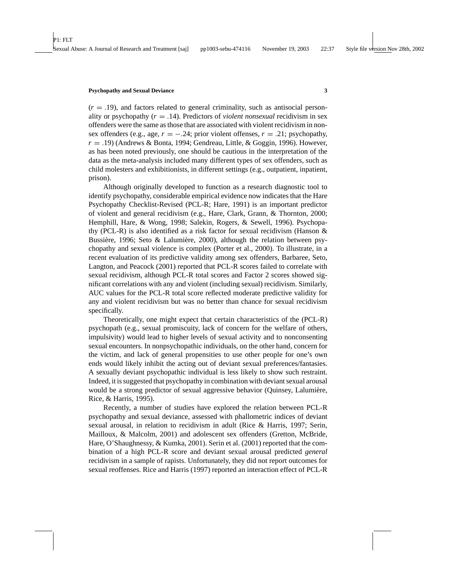$(r = .19)$ , and factors related to general criminality, such as antisocial personality or psychopathy (*r* = .14). Predictors of *violent nonsexual* recidivism in sex offenders were the same as those that are associated with violent recidivism in nonsex offenders (e.g., age,  $r = -.24$ ; prior violent offenses,  $r = .21$ ; psychopathy,  $r = .19$ ) (Andrews & Bonta, 1994; Gendreau, Little, & Goggin, 1996). However, as has been noted previously, one should be cautious in the interpretation of the data as the meta-analysis included many different types of sex offenders, such as child molesters and exhibitionists, in different settings (e.g., outpatient, inpatient, prison).

Although originally developed to function as a research diagnostic tool to identify psychopathy, considerable empirical evidence now indicates that the Hare Psychopathy Checklist-Revised (PCL-R; Hare, 1991) is an important predictor of violent and general recidivism (e.g., Hare, Clark, Grann, & Thornton, 2000; Hemphill, Hare, & Wong, 1998; Salekin, Rogers, & Sewell, 1996). Psychopathy (PCL-R) is also identified as a risk factor for sexual recidivism (Hanson  $\&$ Bussière, 1996; Seto & Lalumière, 2000), although the relation between psychopathy and sexual violence is complex (Porter et al., 2000). To illustrate, in a recent evaluation of its predictive validity among sex offenders, Barbaree, Seto, Langton, and Peacock (2001) reported that PCL-R scores failed to correlate with sexual recidivism, although PCL-R total scores and Factor 2 scores showed significant correlations with any and violent (including sexual) recidivism. Similarly, AUC values for the PCL-R total score reflected moderate predictive validity for any and violent recidivism but was no better than chance for sexual recidivism specifically.

Theoretically, one might expect that certain characteristics of the (PCL-R) psychopath (e.g., sexual promiscuity, lack of concern for the welfare of others, impulsivity) would lead to higher levels of sexual activity and to nonconsenting sexual encounters. In nonpsychopathic individuals, on the other hand, concern for the victim, and lack of general propensities to use other people for one's own ends would likely inhibit the acting out of deviant sexual preferences/fantasies. A sexually deviant psychopathic individual is less likely to show such restraint. Indeed, it is suggested that psychopathy in combination with deviant sexual arousal would be a strong predictor of sexual aggressive behavior (Quinsey, Lalumière, Rice, & Harris, 1995).

Recently, a number of studies have explored the relation between PCL-R psychopathy and sexual deviance, assessed with phallometric indices of deviant sexual arousal, in relation to recidivism in adult (Rice & Harris, 1997; Serin, Mailloux, & Malcolm, 2001) and adolescent sex offenders (Gretton, McBride, Hare, O'Shaughnessy, & Kumka, 2001). Serin et al. (2001) reported that the combination of a high PCL-R score and deviant sexual arousal predicted *general* recidivism in a sample of rapists. Unfortunately, they did not report outcomes for sexual reoffenses. Rice and Harris (1997) reported an interaction effect of PCL-R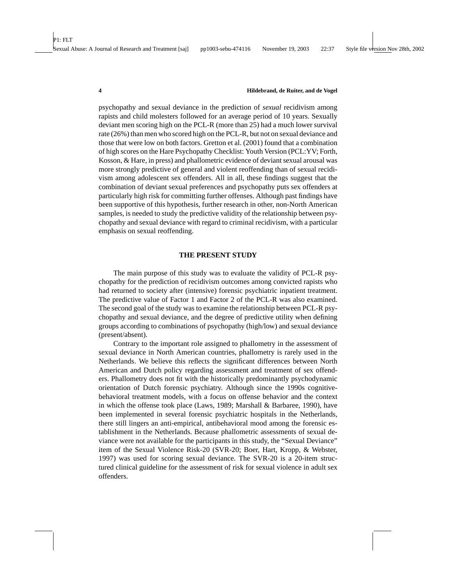psychopathy and sexual deviance in the prediction of *sexual* recidivism among rapists and child molesters followed for an average period of 10 years. Sexually deviant men scoring high on the PCL-R (more than 25) had a much lower survival rate (26%) than men who scored high on the PCL-R, but not on sexual deviance and those that were low on both factors. Gretton et al. (2001) found that a combination of high scores on the Hare Psychopathy Checklist: Youth Version (PCL:YV; Forth, Kosson, & Hare, in press) and phallometric evidence of deviant sexual arousal was more strongly predictive of general and violent reoffending than of sexual recidivism among adolescent sex offenders. All in all, these findings suggest that the combination of deviant sexual preferences and psychopathy puts sex offenders at particularly high risk for committing further offenses. Although past findings have been supportive of this hypothesis, further research in other, non-North American samples, is needed to study the predictive validity of the relationship between psychopathy and sexual deviance with regard to criminal recidivism, with a particular emphasis on sexual reoffending.

#### **THE PRESENT STUDY**

The main purpose of this study was to evaluate the validity of PCL-R psychopathy for the prediction of recidivism outcomes among convicted rapists who had returned to society after (intensive) forensic psychiatric inpatient treatment. The predictive value of Factor 1 and Factor 2 of the PCL-R was also examined. The second goal of the study was to examine the relationship between PCL-R psychopathy and sexual deviance, and the degree of predictive utility when defining groups according to combinations of psychopathy (high/low) and sexual deviance (present/absent).

Contrary to the important role assigned to phallometry in the assessment of sexual deviance in North American countries, phallometry is rarely used in the Netherlands. We believe this reflects the significant differences between North American and Dutch policy regarding assessment and treatment of sex offenders. Phallometry does not fit with the historically predominantly psychodynamic orientation of Dutch forensic psychiatry. Although since the 1990s cognitivebehavioral treatment models, with a focus on offense behavior and the context in which the offense took place (Laws, 1989; Marshall & Barbaree, 1990), have been implemented in several forensic psychiatric hospitals in the Netherlands, there still lingers an anti-empirical, antibehavioral mood among the forensic establishment in the Netherlands. Because phallometric assessments of sexual deviance were not available for the participants in this study, the "Sexual Deviance" item of the Sexual Violence Risk-20 (SVR-20; Boer, Hart, Kropp, & Webster, 1997) was used for scoring sexual deviance. The SVR-20 is a 20-item structured clinical guideline for the assessment of risk for sexual violence in adult sex offenders.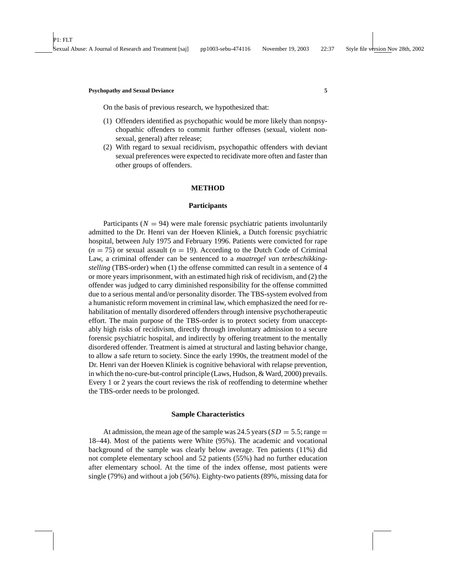On the basis of previous research, we hypothesized that:

- (1) Offenders identified as psychopathic would be more likely than nonpsychopathic offenders to commit further offenses (sexual, violent nonsexual, general) after release;
- (2) With regard to sexual recidivism, psychopathic offenders with deviant sexual preferences were expected to recidivate more often and faster than other groups of offenders.

#### **METHOD**

## **Participants**

Participants  $(N = 94)$  were male forensic psychiatric patients involuntarily admitted to the Dr. Henri van der Hoeven Kliniek, a Dutch forensic psychiatric hospital, between July 1975 and February 1996. Patients were convicted for rape  $(n = 75)$  or sexual assault  $(n = 19)$ . According to the Dutch Code of Criminal Law, a criminal offender can be sentenced to a *maatregel van terbeschikkingstelling* (TBS-order) when (1) the offense committed can result in a sentence of 4 or more years imprisonment, with an estimated high risk of recidivism, and (2) the offender was judged to carry diminished responsibility for the offense committed due to a serious mental and/or personality disorder. The TBS-system evolved from a humanistic reform movement in criminal law, which emphasized the need for rehabilitation of mentally disordered offenders through intensive psychotherapeutic effort. The main purpose of the TBS-order is to protect society from unacceptably high risks of recidivism, directly through involuntary admission to a secure forensic psychiatric hospital, and indirectly by offering treatment to the mentally disordered offender. Treatment is aimed at structural and lasting behavior change, to allow a safe return to society. Since the early 1990s, the treatment model of the Dr. Henri van der Hoeven Kliniek is cognitive behavioral with relapse prevention, in which the no-cure-but-control principle (Laws, Hudson, & Ward, 2000) prevails. Every 1 or 2 years the court reviews the risk of reoffending to determine whether the TBS-order needs to be prolonged.

## **Sample Characteristics**

At admission, the mean age of the sample was 24.5 years  $(SD = 5.5; \text{range} =$ 18–44). Most of the patients were White (95%). The academic and vocational background of the sample was clearly below average. Ten patients (11%) did not complete elementary school and 52 patients (55%) had no further education after elementary school. At the time of the index offense, most patients were single (79%) and without a job (56%). Eighty-two patients (89%, missing data for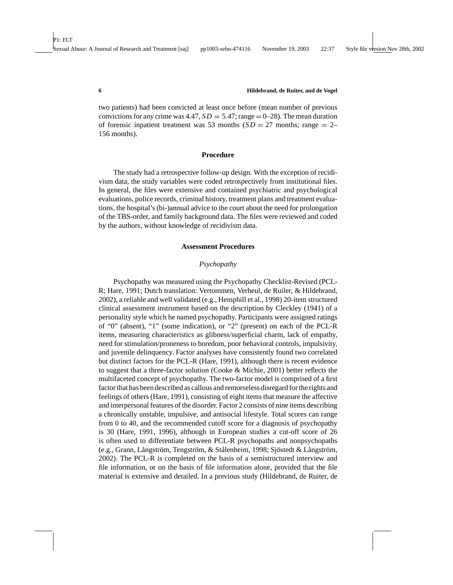two patients) had been convicted at least once before (mean number of previous convictions for any crime was  $4.47$ ,  $SD = 5.47$ ; range = 0–28). The mean duration of forensic inpatient treatment was 53 months ( $SD = 27$  months; range = 2– 156 months).

## **Procedure**

The study had a retrospective follow-up design. With the exception of recidivism data, the study variables were coded retrospectively from institutional files. In general, the files were extensive and contained psychiatric and psychological evaluations, police records, criminal history, treatment plans and treatment evaluations, the hospital's (bi-)annual advice to the court about the need for prolongation of the TBS-order, and family background data. The files were reviewed and coded by the authors, without knowledge of recidivism data.

#### **Assessment Procedures**

# *Psychopathy*

Psychopathy was measured using the Psychopathy Checklist-Revised (PCL-R; Hare, 1991; Dutch translation: Vertommen, Verheul, de Ruiler, & Hildebrand, 2002), a reliable and well validated (e.g., Hemphill et al., 1998) 20-item structured clinical assessment instrument based on the description by Cleckley (1941) of a personality style which he named psychopathy. Participants were assigned ratings of "0" (absent), "1" (some indication), or "2" (present) on each of the PCL-R items, measuring characteristics as glibness/superficial charm, lack of empathy, need for stimulation/proneness to boredom, poor behavioral controls, impulsivity, and juvenile delinquency. Factor analyses have consistently found two correlated but distinct factors for the PCL-R (Hare, 1991), although there is recent evidence to suggest that a three-factor solution (Cooke & Michie, 2001) better reflects the multifaceted concept of psychopathy. The two-factor model is comprised of a first factor that has been described as callous and remorseless disregard for the rights and feelings of others (Hare, 1991), consisting of eight items that measure the affective and interpersonal features of the disorder. Factor 2 consists of nine items describing a chronically unstable, impulsive, and antisocial lifestyle. Total scores can range from 0 to 40, and the recommended cutoff score for a diagnosis of psychopathy is 30 (Hare, 1991, 1996), although in European studies a cut-off score of 26 is often used to differentiate between PCL-R psychopaths and nonpsychopaths (e.g., Grann, Långström, Tengström, & Stålenheim, 1998; Sjöstedt & Långström, 2002). The PCL-R is completed on the basis of a semistructured interview and file information, or on the basis of file information alone, provided that the file material is extensive and detailed. In a previous study (Hildebrand, de Ruiter, de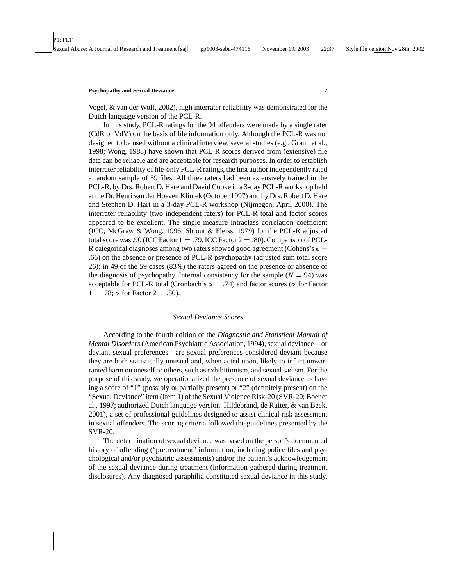Vogel, & van der Wolf, 2002), high interrater reliability was demonstrated for the Dutch language version of the PCL-R.

In this study, PCL-R ratings for the 94 offenders were made by a single rater (CdR or VdV) on the basis of file information only. Although the PCL-R was not designed to be used without a clinical interview, several studies (e.g., Grann et al., 1998; Wong, 1988) have shown that PCL-R scores derived from (extensive) file data can be reliable and are acceptable for research purposes. In order to establish interrater reliability of file-only PCL-R ratings, the first author independently rated a random sample of 59 files. All three raters had been extensively trained in the PCL-R, by Drs. Robert D. Hare and David Cooke in a 3-day PCL-R workshop held at the Dr. Henri van der Hoeven Kliniek (October 1997) and by Drs. Robert D. Hare and Stephen D. Hart in a 3-day PCL-R workshop (Nijmegen, April 2000). The interrater reliability (two independent raters) for PCL-R total and factor scores appeared to be excellent. The single measure intraclass correlation coefficient (ICC; McGraw & Wong, 1996; Shrout & Fleiss, 1979) for the PCL-R adjusted total score was .90 (ICC Factor 1 = .79, ICC Factor 2 = .80). Comparison of PCL-R categorical diagnoses among two raters showed good agreement (Cohens's  $\kappa$  = .66) on the absence or presence of PCL-R psychopathy (adjusted sum total score 26); in 49 of the 59 cases (83%) the raters agreed on the presence or absence of the diagnosis of psychopathy. Internal consistency for the sample  $(N = 94)$  was acceptable for PCL-R total (Cronbach's  $\alpha = .74$ ) and factor scores ( $\alpha$  for Factor  $1 = .78$ ;  $\alpha$  for Factor  $2 = .80$ ).

## *Sexual Deviance Scores*

According to the fourth edition of the *Diagnostic and Statistical Manual of Mental Disorders* (American Psychiatric Association, 1994), sexual deviance—or deviant sexual preferences—are sexual preferences considered deviant because they are both statistically unusual and, when acted upon, likely to inflict unwarranted harm on oneself or others, such as exhibitionism, and sexual sadism. For the purpose of this study, we operationalized the presence of sexual deviance as having a score of "1" (possibly or partially present) or "2" (definitely present) on the "Sexual Deviance" item (Item 1) of the Sexual Violence Risk-20 (SVR-20; Boer et al., 1997; authorized Dutch language version: Hildebrand, de Ruiter, & van Beek, 2001), a set of professional guidelines designed to assist clinical risk assessment in sexual offenders. The scoring criteria followed the guidelines presented by the SVR-20.

The determination of sexual deviance was based on the person's documented history of offending ("pretreatment" information, including police files and psychological and/or psychiatric assessments) and/or the patient's acknowledgement of the sexual deviance during treatment (information gathered during treatment disclosures). Any diagnosed paraphilia constituted sexual deviance in this study,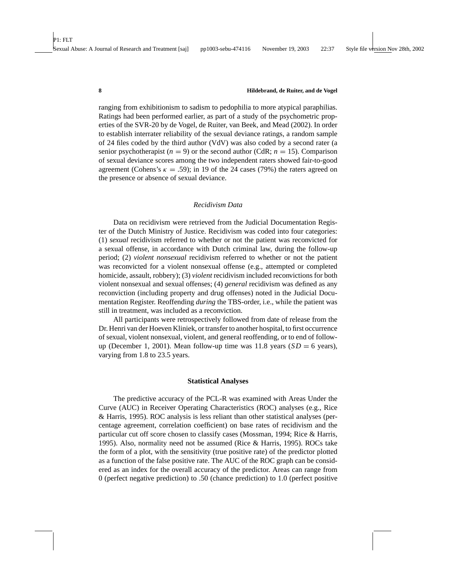ranging from exhibitionism to sadism to pedophilia to more atypical paraphilias. Ratings had been performed earlier, as part of a study of the psychometric properties of the SVR-20 by de Vogel, de Ruiter, van Beek, and Mead (2002). In order to establish interrater reliability of the sexual deviance ratings, a random sample of 24 files coded by the third author (VdV) was also coded by a second rater (a senior psychotherapist ( $n = 9$ ) or the second author (CdR;  $n = 15$ ). Comparison of sexual deviance scores among the two independent raters showed fair-to-good agreement (Cohens's  $\kappa = .59$ ); in 19 of the 24 cases (79%) the raters agreed on the presence or absence of sexual deviance.

## *Recidivism Data*

Data on recidivism were retrieved from the Judicial Documentation Register of the Dutch Ministry of Justice. Recidivism was coded into four categories: (1) *sexual* recidivism referred to whether or not the patient was reconvicted for a sexual offense, in accordance with Dutch criminal law, during the follow-up period; (2) *violent nonsexual* recidivism referred to whether or not the patient was reconvicted for a violent nonsexual offense (e.g., attempted or completed homicide, assault, robbery); (3) *violent* recidivism included reconvictions for both violent nonsexual and sexual offenses; (4) *general* recidivism was defined as any reconviction (including property and drug offenses) noted in the Judicial Documentation Register. Reoffending *during* the TBS-order, i.e., while the patient was still in treatment, was included as a reconviction.

All participants were retrospectively followed from date of release from the Dr. Henri van der Hoeven Kliniek, or transfer to another hospital, to first occurrence of sexual, violent nonsexual, violent, and general reoffending, or to end of followup (December 1, 2001). Mean follow-up time was 11.8 years ( $SD = 6$  years), varying from 1.8 to 23.5 years.

## **Statistical Analyses**

The predictive accuracy of the PCL-R was examined with Areas Under the Curve (AUC) in Receiver Operating Characteristics (ROC) analyses (e.g., Rice & Harris, 1995). ROC analysis is less reliant than other statistical analyses (percentage agreement, correlation coefficient) on base rates of recidivism and the particular cut off score chosen to classify cases (Mossman, 1994; Rice & Harris, 1995). Also, normality need not be assumed (Rice & Harris, 1995). ROCs take the form of a plot, with the sensitivity (true positive rate) of the predictor plotted as a function of the false positive rate. The AUC of the ROC graph can be considered as an index for the overall accuracy of the predictor. Areas can range from 0 (perfect negative prediction) to .50 (chance prediction) to 1.0 (perfect positive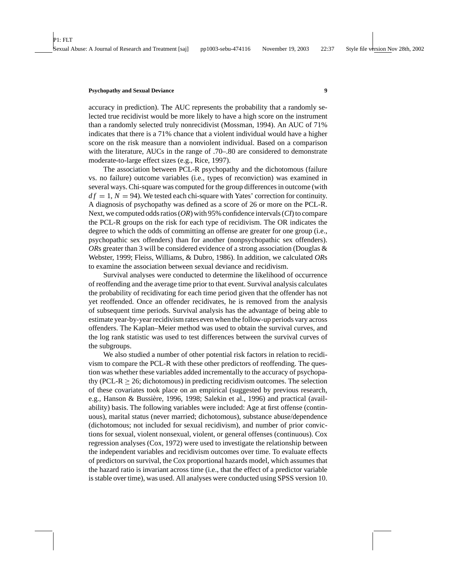accuracy in prediction). The AUC represents the probability that a randomly selected true recidivist would be more likely to have a high score on the instrument than a randomly selected truly nonrecidivist (Mossman, 1994). An AUC of 71% indicates that there is a 71% chance that a violent individual would have a higher score on the risk measure than a nonviolent individual. Based on a comparison with the literature, AUCs in the range of .70–.80 are considered to demonstrate moderate-to-large effect sizes (e.g., Rice, 1997).

The association between PCL-R psychopathy and the dichotomous (failure vs. no failure) outcome variables (i.e., types of reconviction) was examined in several ways. Chi-square was computed for the group differences in outcome (with  $df = 1$ ,  $N = 94$ ). We tested each chi-square with Yates' correction for continuity. A diagnosis of psychopathy was defined as a score of 26 or more on the PCL-R. Next, we computed odds ratios (*OR*) with 95% confidence intervals (*CI*) to compare the PCL-R groups on the risk for each type of recidivism. The OR indicates the degree to which the odds of committing an offense are greater for one group (i.e., psychopathic sex offenders) than for another (nonpsychopathic sex offenders). *OR*s greater than 3 will be considered evidence of a strong association (Douglas & Webster, 1999; Fleiss, Williams, & Dubro, 1986). In addition, we calculated *OR*s to examine the association between sexual deviance and recidivism.

Survival analyses were conducted to determine the likelihood of occurrence of reoffending and the average time prior to that event. Survival analysis calculates the probability of recidivating for each time period given that the offender has not yet reoffended. Once an offender recidivates, he is removed from the analysis of subsequent time periods. Survival analysis has the advantage of being able to estimate year-by-year recidivism rates even when the follow-up periods vary across offenders. The Kaplan–Meier method was used to obtain the survival curves, and the log rank statistic was used to test differences between the survival curves of the subgroups.

We also studied a number of other potential risk factors in relation to recidivism to compare the PCL-R with these other predictors of reoffending. The question was whether these variables added incrementally to the accuracy of psychopathy (PCL-R  $\geq$  26; dichotomous) in predicting recidivism outcomes. The selection of these covariates took place on an empirical (suggested by previous research, e.g., Hanson & Bussière, 1996, 1998; Salekin et al., 1996) and practical (availability) basis. The following variables were included: Age at first offense (continuous), marital status (never married; dichotomous), substance abuse/dependence (dichotomous; not included for sexual recidivism), and number of prior convictions for sexual, violent nonsexual, violent, or general offenses (continuous). Cox regression analyses (Cox, 1972) were used to investigate the relationship between the independent variables and recidivism outcomes over time. To evaluate effects of predictors on survival, the Cox proportional hazards model, which assumes that the hazard ratio is invariant across time (i.e., that the effect of a predictor variable is stable over time), was used. All analyses were conducted using SPSS version 10.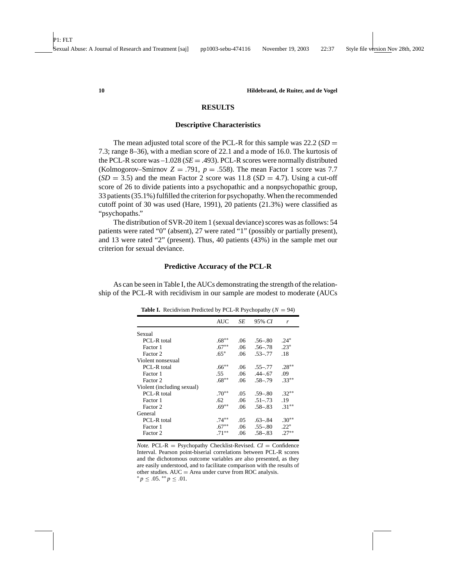#### **RESULTS**

#### **Descriptive Characteristics**

The mean adjusted total score of the PCL-R for this sample was  $22.2$  (*SD* = 7.3; range 8–36), with a median score of 22.1 and a mode of 16.0. The kurtosis of the PCL-R score was  $-1.028$  ( $SE = .493$ ). PCL-R scores were normally distributed (Kolmogorov–Smirnov  $Z = .791$ ,  $p = .558$ ). The mean Factor 1 score was 7.7  $(SD = 3.5)$  and the mean Factor 2 score was 11.8  $(SD = 4.7)$ . Using a cut-off score of 26 to divide patients into a psychopathic and a nonpsychopathic group, 33 patients (35.1%) fulfilled the criterion for psychopathy. When the recommended cutoff point of 30 was used (Hare, 1991), 20 patients (21.3%) were classified as "psychopaths."

The distribution of SVR-20 item 1 (sexual deviance) scores was as follows: 54 patients were rated "0" (absent), 27 were rated "1" (possibly or partially present), and 13 were rated "2" (present). Thus, 40 patients (43%) in the sample met our criterion for sexual deviance.

## **Predictive Accuracy of the PCL-R**

As can be seen in Table I, the AUCs demonstrating the strength of the relationship of the PCL-R with recidivism in our sample are modest to moderate (AUCs

| <b>Rabit 1:</b> Recream Figure 1 (calculate by T CE IV 1 sychopathy $(1)$ |     |             |         |  |  |  |  |
|---------------------------------------------------------------------------|-----|-------------|---------|--|--|--|--|
| <b>AUC</b>                                                                | SE  | 95% CI      | r       |  |  |  |  |
|                                                                           |     |             |         |  |  |  |  |
| $.68**$                                                                   | .06 | $.56 - .80$ | $.24*$  |  |  |  |  |
| $.67***$                                                                  | .06 | $.56 - .78$ | $.23*$  |  |  |  |  |
| $.65*$                                                                    | .06 | $.53 - .77$ | .18     |  |  |  |  |
|                                                                           |     |             |         |  |  |  |  |
| $.66***$                                                                  | .06 | $.55 - .77$ | $.28**$ |  |  |  |  |
| .55                                                                       | .06 | $.44 - .67$ | .09     |  |  |  |  |
| $.68***$                                                                  | .06 | $.58 - .79$ | $.33**$ |  |  |  |  |
|                                                                           |     |             |         |  |  |  |  |
| $.70**$                                                                   | .05 | $.59 - .80$ | $.32**$ |  |  |  |  |
| .62                                                                       | .06 | $.51 - .73$ | .19     |  |  |  |  |
| $.69***$                                                                  | .06 | $.58 - .83$ | $.31**$ |  |  |  |  |
|                                                                           |     |             |         |  |  |  |  |
| $.74**$                                                                   | .05 | .63–.84     | $.30**$ |  |  |  |  |
| $.67**$                                                                   | .06 | $.55 - .80$ | $.22*$  |  |  |  |  |
| $.71***$                                                                  | .06 | $.58 - .83$ | $.27**$ |  |  |  |  |
|                                                                           |     |             |         |  |  |  |  |

**Table I.** Recidivism Predicted by PCL-R Psychopathy (*N* = 94)

*Note.* PCL-R = Psychopathy Checklist-Revised.  $CI =$  Confidence Interval. Pearson point-biserial correlations between PCL-R scores and the dichotomous outcome variables are also presented, as they are easily understood, and to facilitate comparison with the results of other studies. AUC = Area under curve from ROC analysis.  $* p ≤ .05. ** p ≤ .01.$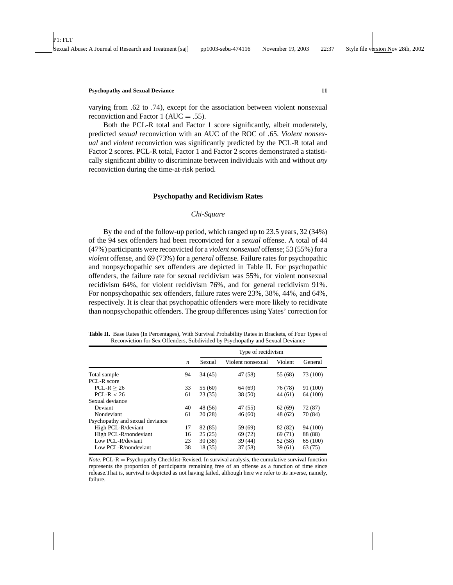#### **Psychopathy and Sexual Deviance 11 11**

varying from .62 to .74), except for the association between violent nonsexual reconviction and Factor 1 (AUC = .55).

Both the PCL-R total and Factor 1 score significantly, albeit moderately, predicted *sexual* reconviction with an AUC of the ROC of .65. *Violent nonsexual* and *violent* reconviction was significantly predicted by the PCL-R total and Factor 2 scores. PCL-R total, Factor 1 and Factor 2 scores demonstrated a statistically significant ability to discriminate between individuals with and without *any* reconviction during the time-at-risk period.

#### **Psychopathy and Recidivism Rates**

## *Chi-Square*

By the end of the follow-up period, which ranged up to 23.5 years, 32 (34%) of the 94 sex offenders had been reconvicted for a *sexual* offense. A total of 44 (47%) participants were reconvicted for a *violent nonsexual* offense; 53 (55%) for a *violent* offense, and 69 (73%) for a *general* offense. Failure rates for psychopathic and nonpsychopathic sex offenders are depicted in Table II. For psychopathic offenders, the failure rate for sexual recidivism was 55%, for violent nonsexual recidivism 64%, for violent recidivism 76%, and for general recidivism 91%. For nonpsychopathic sex offenders, failure rates were 23%, 38%, 44%, and 64%, respectively. It is clear that psychopathic offenders were more likely to recidivate than nonpsychopathic offenders. The group differences using Yates' correction for

|                                 |    | Type of recidivism |                   |         |          |  |
|---------------------------------|----|--------------------|-------------------|---------|----------|--|
|                                 | n  | Sexual             | Violent nonsexual | Violent | General  |  |
| Total sample                    | 94 | 34 (45)            | 47 (58)           | 55 (68) | 73 (100) |  |
| PCL-R score                     |    |                    |                   |         |          |  |
| $PCL-R > 26$                    | 33 | 55 (60)            | 64 (69)           | 76 (78) | 91 (100) |  |
| $PCL-R < 26$                    | 61 | 23(35)             | 38 (50)           | 44(61)  | 64 (100) |  |
| Sexual deviance                 |    |                    |                   |         |          |  |
| Deviant                         | 40 | 48 (56)            | 47 (55)           | 62 (69) | 72 (87)  |  |
| Nondeviant                      | 61 | 20(28)             | 46(60)            | 48 (62) | 70 (84)  |  |
| Psychopathy and sexual deviance |    |                    |                   |         |          |  |
| High PCL-R/deviant              | 17 | 82 (85)            | 59 (69)           | 82 (82) | 94 (100) |  |
| High PCL-R/nondeviant           | 16 | 25(25)             | 69 (72)           | 69 (71) | 88 (88)  |  |
| Low PCL-R/deviant               | 23 | 30(38)             | 39 (44)           | 52 (58) | 65 (100) |  |
| Low PCL-R/nondeviant            | 38 | 18 (35)            | 37(58)            | 39 (61) | 63 (75)  |  |

**Table II.** Base Rates (In Percentages), With Survival Probability Rates in Brackets, of Four Types of Reconviction for Sex Offenders, Subdivided by Psychopathy and Sexual Deviance

*Note.* PCL-R = Psychopathy Checklist-Revised. In survival analysis, the cumulative survival function represents the proportion of participants remaining free of an offense as a function of time since release.That is, survival is depicted as not having failed, although here we refer to its inverse, namely, failure.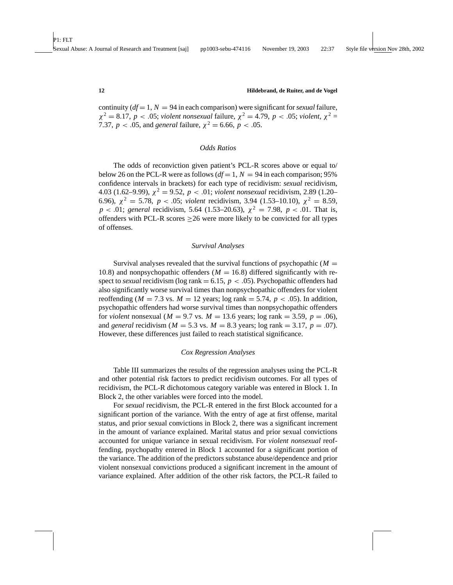continuity  $(df = 1, N = 94$  in each comparison) were significant for *sexual* failure,  $χ<sup>2</sup> = 8.17, p < .05$ ; *violent nonsexual* failure,  $χ<sup>2</sup> = 4.79, p < .05$ ; *violent*,  $χ<sup>2</sup> =$ 7.37,  $p < .05$ , and *general* failure,  $\chi^2 = 6.66$ ,  $p < .05$ .

## *Odds Ratios*

The odds of reconviction given patient's PCL-R scores above or equal to/ below 26 on the PCL-R were as follows  $(df = 1, N = 94$  in each comparison; 95% confidence intervals in brackets) for each type of recidivism: *sexual* recidivism, 4.03 (1.62–9.99), <sup>χ</sup><sup>2</sup> <sup>=</sup> 9.52, *<sup>p</sup>* < .01; *violent nonsexual* recidivism, 2.89 (1.20– 6.96),  $\chi^2 = 5.78$ ,  $p < .05$ ; *violent* recidivism, 3.94 (1.53–10.10),  $\chi^2 = 8.59$ ,  $p < .01$ ; *general* recidivism, 5.64 (1.53–20.63),  $\chi^2 = 7.98$ ,  $p < .01$ . That is, offenders with PCL-R scores ≥26 were more likely to be convicted for all types of offenses.

## *Survival Analyses*

Survival analyses revealed that the survival functions of psychopathic  $(M =$ 10.8) and nonpsychopathic offenders  $(M = 16.8)$  differed significantly with respect to *sexual* recidivism (log rank = 6.15,  $p < .05$ ). Psychopathic offenders had also significantly worse survival times than nonpsychopathic offenders for violent reoffending ( $M = 7.3$  vs.  $M = 12$  years; log rank = 5.74,  $p < .05$ ). In addition, psychopathic offenders had worse survival times than nonpsychopathic offenders for *violent* nonsexual ( $M = 9.7$  vs.  $M = 13.6$  years; log rank = 3.59,  $p = .06$ ), and *general* recidivism ( $M = 5.3$  vs.  $M = 8.3$  years; log rank = 3.17,  $p = .07$ ). However, these differences just failed to reach statistical significance.

#### *Cox Regression Analyses*

Table III summarizes the results of the regression analyses using the PCL-R and other potential risk factors to predict recidivism outcomes. For all types of recidivism, the PCL-R dichotomous category variable was entered in Block 1. In Block 2, the other variables were forced into the model.

For *sexual* recidivism, the PCL-R entered in the first Block accounted for a significant portion of the variance. With the entry of age at first offense, marital status, and prior sexual convictions in Block 2, there was a significant increment in the amount of variance explained. Marital status and prior sexual convictions accounted for unique variance in sexual recidivism. For *violent nonsexual* reoffending, psychopathy entered in Block 1 accounted for a significant portion of the variance. The addition of the predictors substance abuse/dependence and prior violent nonsexual convictions produced a significant increment in the amount of variance explained. After addition of the other risk factors, the PCL-R failed to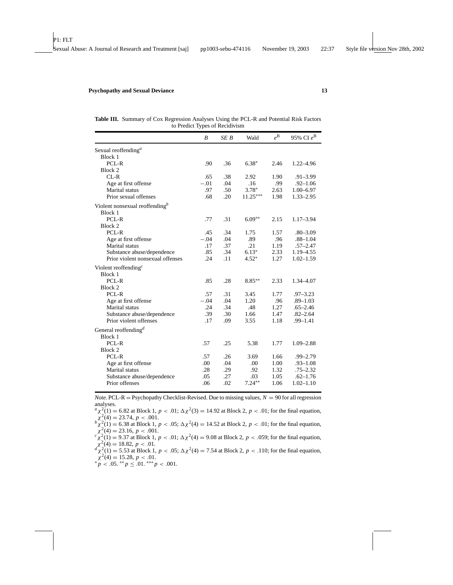| Sexual reoffending <sup><math>a</math></sup><br>Block 1<br>PCL-R<br>.90<br>.36<br>$6.38*$<br>2.46<br>1.22-4.96<br>Block 2<br>$CL-R$<br>.38<br>.65<br>2.92<br>1.90<br>$.91 - 3.99$<br>$-.01$<br>.04<br>.99<br>$.92 - 1.06$<br>Age at first offense<br>.16<br>$3.78*$<br>.97<br>.50<br>2.63<br>Marital status<br>$1.00 - 6.97$<br>Prior sexual offenses<br>.68<br>.20<br>$11.25***$<br>1.98<br>1.33-2.95<br>Violent nonsexual reoffending <sup>b</sup><br>Block 1<br>PCL-R<br>.77<br>.31<br>$6.09**$<br>2.15<br>$1.17 - 3.94$ |                  |      |      |                |                       |
|-----------------------------------------------------------------------------------------------------------------------------------------------------------------------------------------------------------------------------------------------------------------------------------------------------------------------------------------------------------------------------------------------------------------------------------------------------------------------------------------------------------------------------|------------------|------|------|----------------|-----------------------|
|                                                                                                                                                                                                                                                                                                                                                                                                                                                                                                                             | $\boldsymbol{B}$ | SE B | Wald | $e^{\text{B}}$ | 95% CI $e^{\text{B}}$ |
|                                                                                                                                                                                                                                                                                                                                                                                                                                                                                                                             |                  |      |      |                |                       |
|                                                                                                                                                                                                                                                                                                                                                                                                                                                                                                                             |                  |      |      |                |                       |
|                                                                                                                                                                                                                                                                                                                                                                                                                                                                                                                             |                  |      |      |                |                       |
|                                                                                                                                                                                                                                                                                                                                                                                                                                                                                                                             |                  |      |      |                |                       |
|                                                                                                                                                                                                                                                                                                                                                                                                                                                                                                                             |                  |      |      |                |                       |
|                                                                                                                                                                                                                                                                                                                                                                                                                                                                                                                             |                  |      |      |                |                       |
|                                                                                                                                                                                                                                                                                                                                                                                                                                                                                                                             |                  |      |      |                |                       |
|                                                                                                                                                                                                                                                                                                                                                                                                                                                                                                                             |                  |      |      |                |                       |
|                                                                                                                                                                                                                                                                                                                                                                                                                                                                                                                             |                  |      |      |                |                       |
|                                                                                                                                                                                                                                                                                                                                                                                                                                                                                                                             |                  |      |      |                |                       |
|                                                                                                                                                                                                                                                                                                                                                                                                                                                                                                                             |                  |      |      |                |                       |
| Block 2                                                                                                                                                                                                                                                                                                                                                                                                                                                                                                                     |                  |      |      |                |                       |
| PCL-R<br>1.57<br>.45<br>.34<br>1.75<br>$.80 - 3.09$                                                                                                                                                                                                                                                                                                                                                                                                                                                                         |                  |      |      |                |                       |
| $-.04$<br>.04<br>$.88 - 1.04$<br>Age at first offense<br>.89<br>.96                                                                                                                                                                                                                                                                                                                                                                                                                                                         |                  |      |      |                |                       |
| .37<br>.17<br>.21<br>1.19<br>$.57 - 2.47$<br>Marital status                                                                                                                                                                                                                                                                                                                                                                                                                                                                 |                  |      |      |                |                       |
| .34<br>$6.13*$<br>2.33<br>Substance abuse/dependence<br>.85<br>1.19 - 4.55                                                                                                                                                                                                                                                                                                                                                                                                                                                  |                  |      |      |                |                       |
| Prior violent nonsexual offenses<br>.24<br>.11<br>$4.52*$<br>1.27<br>$1.02 - 1.59$                                                                                                                                                                                                                                                                                                                                                                                                                                          |                  |      |      |                |                       |
| Violent reoffending $c$                                                                                                                                                                                                                                                                                                                                                                                                                                                                                                     |                  |      |      |                |                       |
| Block 1                                                                                                                                                                                                                                                                                                                                                                                                                                                                                                                     |                  |      |      |                |                       |
| PCL-R<br>.85<br>.28<br>$8.85***$<br>2.33<br>1.34 - 4.07                                                                                                                                                                                                                                                                                                                                                                                                                                                                     |                  |      |      |                |                       |
| Block 2                                                                                                                                                                                                                                                                                                                                                                                                                                                                                                                     |                  |      |      |                |                       |
| PCL-R<br>.57<br>.31<br>1.77<br>$.97 - 3.23$<br>3.45                                                                                                                                                                                                                                                                                                                                                                                                                                                                         |                  |      |      |                |                       |
| $-.04$<br>.04<br>1.20<br>Age at first offense<br>.96<br>$.89 - 1.03$                                                                                                                                                                                                                                                                                                                                                                                                                                                        |                  |      |      |                |                       |
| .24<br>.34<br>.48<br>1.27<br>$.65 - 2.46$<br>Marital status                                                                                                                                                                                                                                                                                                                                                                                                                                                                 |                  |      |      |                |                       |
| .39<br>.30<br>Substance abuse/dependence<br>1.66<br>1.47<br>$.82 - 2.64$                                                                                                                                                                                                                                                                                                                                                                                                                                                    |                  |      |      |                |                       |
| Prior violent offenses<br>.17<br>.09<br>3.55<br>1.18<br>$.99 - 1.41$                                                                                                                                                                                                                                                                                                                                                                                                                                                        |                  |      |      |                |                       |
| General reoffending <sup>d</sup>                                                                                                                                                                                                                                                                                                                                                                                                                                                                                            |                  |      |      |                |                       |
| Block 1                                                                                                                                                                                                                                                                                                                                                                                                                                                                                                                     |                  |      |      |                |                       |
| PCL-R<br>.57<br>.25<br>5.38<br>1.77<br>$1.09 - 2.88$                                                                                                                                                                                                                                                                                                                                                                                                                                                                        |                  |      |      |                |                       |
| Block 2                                                                                                                                                                                                                                                                                                                                                                                                                                                                                                                     |                  |      |      |                |                       |
| PCL-R<br>.57<br>.26<br>3.69<br>1.66<br>$.99 - 2.79$                                                                                                                                                                                                                                                                                                                                                                                                                                                                         |                  |      |      |                |                       |
| .04<br>Age at first offense<br>.00<br>1.00<br>.00<br>$.93 - 1.08$                                                                                                                                                                                                                                                                                                                                                                                                                                                           |                  |      |      |                |                       |
| .29<br>1.32<br>Marital status<br>.28<br>.92<br>$.75 - 2.32$                                                                                                                                                                                                                                                                                                                                                                                                                                                                 |                  |      |      |                |                       |
| .05<br>.27<br>1.05<br>Substance abuse/dependence<br>.03<br>$.62 - 1.76$                                                                                                                                                                                                                                                                                                                                                                                                                                                     |                  |      |      |                |                       |
| .02<br>$7.24**$<br>Prior offenses<br>.06<br>1.06<br>$1.02 - 1.10$                                                                                                                                                                                                                                                                                                                                                                                                                                                           |                  |      |      |                |                       |

**Table III.** Summary of Cox Regression Analyses Using the PCL-R and Potential Risk Factors to Predict Types of Recidivism

*Note.* PCL-R = Psychopathy Checklist-Revised. Due to missing values,  $N = 90$  for all regression analyses.

 $a_{\chi^2}(1) = 6.82$  at Block 1,  $p < .01$ ;  $\Delta \chi^2(3) = 14.92$  at Block 2,  $p < .01$ ; for the final equation,  $\chi^2(4) = 23.74, p < .001.$ <br> $\delta \chi^2(1) = 6.38$  at Block 1,  $p < .05$ ;  $\Delta \chi^2(4) = 14.52$  at Block 2,  $p < .01$ ; for the final equation,

 $\chi^2(4) = 23.16, p < .001.$ <br>*c*  $\chi^2(1) = 9.37$  at Block 1,  $p < .01$ ;  $\Delta \chi^2(4) = 9.08$  at Block 2,  $p < .059$ ; for the final equation,

 $\chi^2(4) = 18.82, p < .01.$ <br>*d*  $\chi^2(1) = 5.53$  at Block 1, *p* < .05;  $\Delta \chi^2(4) = 7.54$  at Block 2, *p* < .110; for the final equation,  $\chi^2(4) = 15.28, p < .01.$ 

 $* p$  < .05.  $* p$  ≤ .01.  $* * p$  < .001.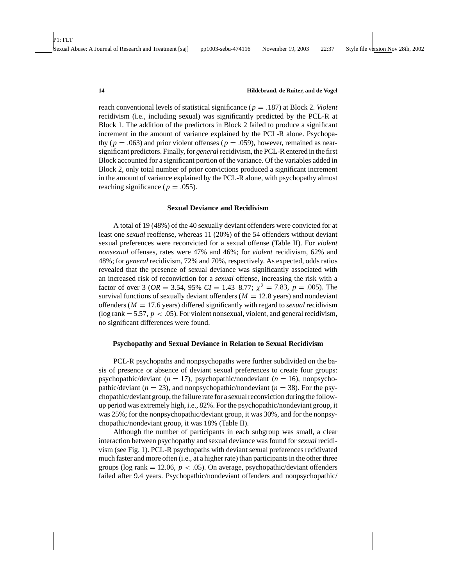reach conventional levels of statistical significance (*p* = .187) at Block 2. *Violent* recidivism (i.e., including sexual) was significantly predicted by the PCL-R at Block 1. The addition of the predictors in Block 2 failed to produce a significant increment in the amount of variance explained by the PCL-R alone. Psychopathy ( $p = .063$ ) and prior violent offenses ( $p = .059$ ), however, remained as nearsignificant predictors. Finally, for *general*recidivism, the PCL-R entered in the first Block accounted for a significant portion of the variance. Of the variables added in Block 2, only total number of prior convictions produced a significant increment in the amount of variance explained by the PCL-R alone, with psychopathy almost reaching significance ( $p = .055$ ).

#### **Sexual Deviance and Recidivism**

A total of 19 (48%) of the 40 sexually deviant offenders were convicted for at least one *sexual* reoffense, whereas 11 (20%) of the 54 offenders without deviant sexual preferences were reconvicted for a sexual offense (Table II). For *violent nonsexual* offenses, rates were 47% and 46%; for *violent* recidivism, 62% and 48%; for *general* recidivism, 72% and 70%, respectively. As expected, odds ratios revealed that the presence of sexual deviance was significantly associated with an increased risk of reconviction for a *sexual* offense, increasing the risk with a factor of over 3 ( $OR = 3.54$ , 95%  $CI = 1.43-8.77$ ;  $\chi^2 = 7.83$ ,  $p = .005$ ). The survival functions of sexually deviant offenders ( $M = 12.8$  years) and nondeviant offenders ( $M = 17.6$  years) differed significantly with regard to *sexual* recidivism (log rank  $=$  5.57,  $p < .05$ ). For violent nonsexual, violent, and general recidivism, no significant differences were found.

#### **Psychopathy and Sexual Deviance in Relation to Sexual Recidivism**

PCL-R psychopaths and nonpsychopaths were further subdivided on the basis of presence or absence of deviant sexual preferences to create four groups: psychopathic/deviant ( $n = 17$ ), psychopathic/nondeviant ( $n = 16$ ), nonpsychopathic/deviant ( $n = 23$ ), and nonpsychopathic/nondeviant ( $n = 38$ ). For the psychopathic/deviant group, the failure rate for a sexual reconviction during the followup period was extremely high, i.e., 82%. For the psychopathic/nondeviant group, it was 25%; for the nonpsychopathic/deviant group, it was 30%, and for the nonpsychopathic/nondeviant group, it was 18% (Table II).

Although the number of participants in each subgroup was small, a clear interaction between psychopathy and sexual deviance was found for *sexual* recidivism (see Fig. 1). PCL-R psychopaths with deviant sexual preferences recidivated much faster and more often (i.e., at a higher rate) than participants in the other three groups (log rank  $= 12.06$ ,  $p < .05$ ). On average, psychopathic/deviant offenders failed after 9.4 years. Psychopathic/nondeviant offenders and nonpsychopathic/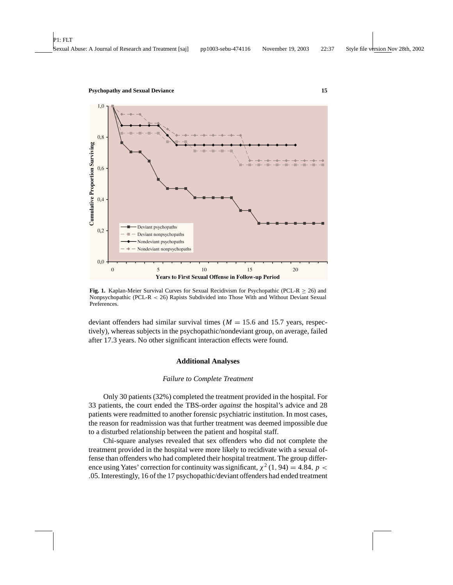

**Fig. 1.** Kaplan-Meier Survival Curves for Sexual Recidivism for Psychopathic (PCL-R  $> 26$ ) and Nonpsychopathic (PCL-R < 26) Rapists Subdivided into Those With and Without Deviant Sexual Preferences.

deviant offenders had similar survival times  $(M = 15.6$  and 15.7 years, respectively), whereas subjects in the psychopathic/nondeviant group, on average, failed after 17.3 years. No other significant interaction effects were found.

## **Additional Analyses**

#### *Failure to Complete Treatment*

Only 30 patients (32%) completed the treatment provided in the hospital. For 33 patients, the court ended the TBS-order *against* the hospital's advice and 28 patients were readmitted to another forensic psychiatric institution. In most cases, the reason for readmission was that further treatment was deemed impossible due to a disturbed relationship between the patient and hospital staff.

Chi-square analyses revealed that sex offenders who did not complete the treatment provided in the hospital were more likely to recidivate with a sexual offense than offenders who had completed their hospital treatment. The group difference using Yates' correction for continuity was significant,  $\chi^2$  (1, 94) = 4.84, *p* < .05. Interestingly, 16 of the 17 psychopathic/deviant offenders had ended treatment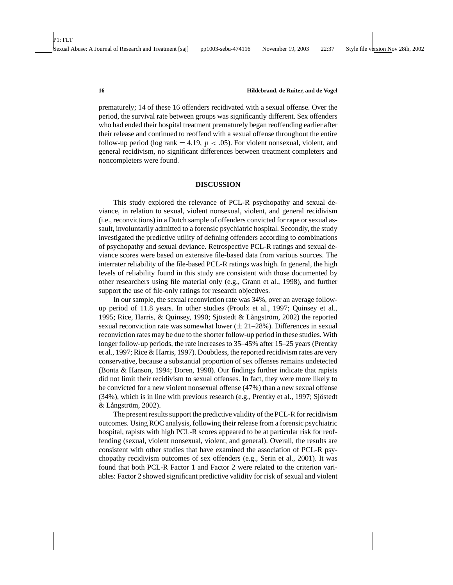prematurely; 14 of these 16 offenders recidivated with a sexual offense. Over the period, the survival rate between groups was significantly different. Sex offenders who had ended their hospital treatment prematurely began reoffending earlier after their release and continued to reoffend with a sexual offense throughout the entire follow-up period (log rank  $= 4.19$ ,  $p < .05$ ). For violent nonsexual, violent, and general recidivism, no significant differences between treatment completers and noncompleters were found.

## **DISCUSSION**

This study explored the relevance of PCL-R psychopathy and sexual deviance, in relation to sexual, violent nonsexual, violent, and general recidivism (i.e., reconvictions) in a Dutch sample of offenders convicted for rape or sexual assault, involuntarily admitted to a forensic psychiatric hospital. Secondly, the study investigated the predictive utility of defining offenders according to combinations of psychopathy and sexual deviance. Retrospective PCL-R ratings and sexual deviance scores were based on extensive file-based data from various sources. The interrater reliability of the file-based PCL-R ratings was high. In general, the high levels of reliability found in this study are consistent with those documented by other researchers using file material only (e.g., Grann et al., 1998), and further support the use of file-only ratings for research objectives.

In our sample, the sexual reconviction rate was 34%, over an average followup period of 11.8 years. In other studies (Proulx et al., 1997; Quinsey et al., 1995; Rice, Harris, & Quinsey, 1990; Sjöstedt & Långström, 2002) the reported sexual reconviction rate was somewhat lower  $(\pm 21-28\%)$ . Differences in sexual reconviction rates may be due to the shorter follow-up period in these studies. With longer follow-up periods, the rate increases to 35–45% after 15–25 years (Prentky et al., 1997; Rice & Harris, 1997). Doubtless, the reported recidivism rates are very conservative, because a substantial proportion of sex offenses remains undetected (Bonta & Hanson, 1994; Doren, 1998). Our findings further indicate that rapists did not limit their recidivism to sexual offenses. In fact, they were more likely to be convicted for a new violent nonsexual offense (47%) than a new sexual offense  $(34%)$ , which is in line with previous research (e.g., Prentky et al., 1997; Sjöstedt  $&$  Långström, 2002).

The present results support the predictive validity of the PCL-R for recidivism outcomes. Using ROC analysis, following their release from a forensic psychiatric hospital, rapists with high PCL-R scores appeared to be at particular risk for reoffending (sexual, violent nonsexual, violent, and general). Overall, the results are consistent with other studies that have examined the association of PCL-R psychopathy recidivism outcomes of sex offenders (e.g., Serin et al., 2001). It was found that both PCL-R Factor 1 and Factor 2 were related to the criterion variables: Factor 2 showed significant predictive validity for risk of sexual and violent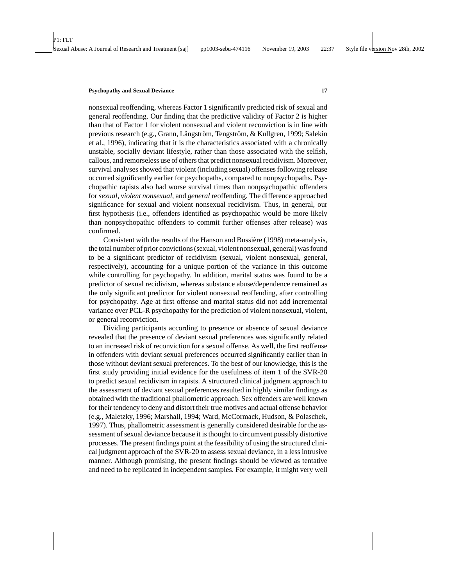nonsexual reoffending, whereas Factor 1 significantly predicted risk of sexual and general reoffending. Our finding that the predictive validity of Factor 2 is higher than that of Factor 1 for violent nonsexual and violent reconviction is in line with previous research (e.g., Grann, Långström, Tengström, & Kullgren, 1999; Salekin et al., 1996), indicating that it is the characteristics associated with a chronically unstable, socially deviant lifestyle, rather than those associated with the selfish, callous, and remorseless use of others that predict nonsexual recidivism. Moreover, survival analyses showed that violent (including sexual) offenses following release occurred significantly earlier for psychopaths, compared to nonpsychopaths. Psychopathic rapists also had worse survival times than nonpsychopathic offenders for *sexual*, *violent nonsexual*, and *general* reoffending. The difference approached significance for sexual and violent nonsexual recidivism. Thus, in general, our first hypothesis (i.e., offenders identified as psychopathic would be more likely than nonpsychopathic offenders to commit further offenses after release) was confirmed.

Consistent with the results of the Hanson and Bussière (1998) meta-analysis, the total number of prior convictions (sexual, violent nonsexual, general) was found to be a significant predictor of recidivism (sexual, violent nonsexual, general, respectively), accounting for a unique portion of the variance in this outcome while controlling for psychopathy. In addition, marital status was found to be a predictor of sexual recidivism, whereas substance abuse/dependence remained as the only significant predictor for violent nonsexual reoffending, after controlling for psychopathy. Age at first offense and marital status did not add incremental variance over PCL-R psychopathy for the prediction of violent nonsexual, violent, or general reconviction.

Dividing participants according to presence or absence of sexual deviance revealed that the presence of deviant sexual preferences was significantly related to an increased risk of reconviction for a sexual offense. As well, the first reoffense in offenders with deviant sexual preferences occurred significantly earlier than in those without deviant sexual preferences. To the best of our knowledge, this is the first study providing initial evidence for the usefulness of item 1 of the SVR-20 to predict sexual recidivism in rapists. A structured clinical judgment approach to the assessment of deviant sexual preferences resulted in highly similar findings as obtained with the traditional phallometric approach. Sex offenders are well known for their tendency to deny and distort their true motives and actual offense behavior (e.g., Maletzky, 1996; Marshall, 1994; Ward, McCormack, Hudson, & Polaschek, 1997). Thus, phallometric assessment is generally considered desirable for the assessment of sexual deviance because it is thought to circumvent possibly distortive processes. The present findings point at the feasibility of using the structured clinical judgment approach of the SVR-20 to assess sexual deviance, in a less intrusive manner. Although promising, the present findings should be viewed as tentative and need to be replicated in independent samples. For example, it might very well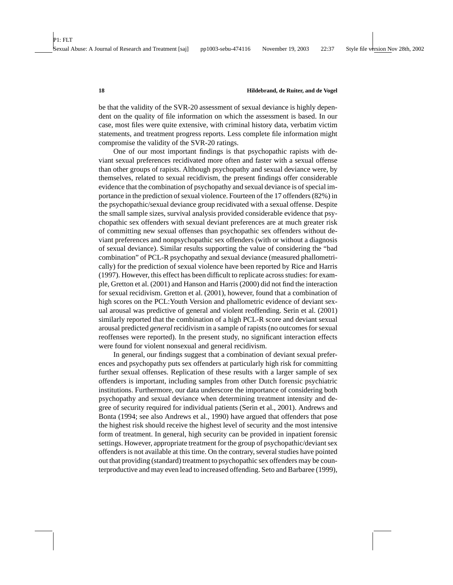be that the validity of the SVR-20 assessment of sexual deviance is highly dependent on the quality of file information on which the assessment is based. In our case, most files were quite extensive, with criminal history data, verbatim victim statements, and treatment progress reports. Less complete file information might compromise the validity of the SVR-20 ratings.

One of our most important findings is that psychopathic rapists with deviant sexual preferences recidivated more often and faster with a sexual offense than other groups of rapists. Although psychopathy and sexual deviance were, by themselves, related to sexual recidivism, the present findings offer considerable evidence that the combination of psychopathy and sexual deviance is of special importance in the prediction of sexual violence. Fourteen of the 17 offenders (82%) in the psychopathic/sexual deviance group recidivated with a sexual offense. Despite the small sample sizes, survival analysis provided considerable evidence that psychopathic sex offenders with sexual deviant preferences are at much greater risk of committing new sexual offenses than psychopathic sex offenders without deviant preferences and nonpsychopathic sex offenders (with or without a diagnosis of sexual deviance). Similar results supporting the value of considering the "bad combination" of PCL-R psychopathy and sexual deviance (measured phallometrically) for the prediction of sexual violence have been reported by Rice and Harris (1997). However, this effect has been difficult to replicate across studies: for example, Gretton et al. (2001) and Hanson and Harris (2000) did not find the interaction for sexual recidivism. Gretton et al. (2001), however, found that a combination of high scores on the PCL:Youth Version and phallometric evidence of deviant sexual arousal was predictive of general and violent reoffending. Serin et al. (2001) similarly reported that the combination of a high PCL-R score and deviant sexual arousal predicted *general* recidivism in a sample of rapists (no outcomes for sexual reoffenses were reported). In the present study, no significant interaction effects were found for violent nonsexual and general recidivism.

In general, our findings suggest that a combination of deviant sexual preferences and psychopathy puts sex offenders at particularly high risk for committing further sexual offenses. Replication of these results with a larger sample of sex offenders is important, including samples from other Dutch forensic psychiatric institutions. Furthermore, our data underscore the importance of considering both psychopathy and sexual deviance when determining treatment intensity and degree of security required for individual patients (Serin et al., 2001). Andrews and Bonta (1994; see also Andrews et al., 1990) have argued that offenders that pose the highest risk should receive the highest level of security and the most intensive form of treatment. In general, high security can be provided in inpatient forensic settings. However, appropriate treatment for the group of psychopathic/deviant sex offenders is not available at this time. On the contrary, several studies have pointed out that providing (standard) treatment to psychopathic sex offenders may be counterproductive and may even lead to increased offending. Seto and Barbaree (1999),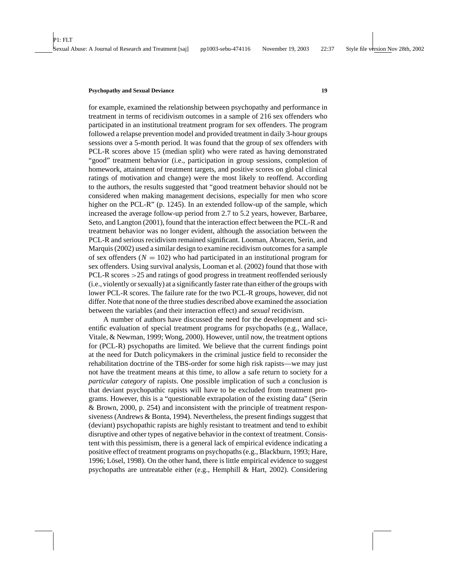#### **Psychopathy and Sexual Deviance 19** 19

for example, examined the relationship between psychopathy and performance in treatment in terms of recidivism outcomes in a sample of 216 sex offenders who participated in an institutional treatment program for sex offenders. The program followed a relapse prevention model and provided treatment in daily 3-hour groups sessions over a 5-month period. It was found that the group of sex offenders with PCL-R scores above 15 (median split) who were rated as having demonstrated "good" treatment behavior (i.e., participation in group sessions, completion of homework, attainment of treatment targets, and positive scores on global clinical ratings of motivation and change) were the most likely to reoffend. According to the authors, the results suggested that "good treatment behavior should not be considered when making management decisions, especially for men who score higher on the PCL-R" (p. 1245). In an extended follow-up of the sample, which increased the average follow-up period from 2.7 to 5.2 years, however, Barbaree, Seto, and Langton (2001), found that the interaction effect between the PCL-R and treatment behavior was no longer evident, although the association between the PCL-R and serious recidivism remained significant. Looman, Abracen, Serin, and Marquis (2002) used a similar design to examine recidivism outcomes for a sample of sex offenders  $(N = 102)$  who had participated in an institutional program for sex offenders. Using survival analysis, Looman et al. (2002) found that those with PCL-R scores >25 and ratings of good progress in treatment reoffended seriously (i.e., violently or sexually) at a significantly faster rate than either of the groups with lower PCL-R scores. The failure rate for the two PCL-R groups, however, did not differ. Note that none of the three studies described above examined the association between the variables (and their interaction effect) and *sexual* recidivism.

A number of authors have discussed the need for the development and scientific evaluation of special treatment programs for psychopaths (e.g., Wallace, Vitale, & Newman, 1999; Wong, 2000). However, until now, the treatment options for (PCL-R) psychopaths are limited. We believe that the current findings point at the need for Dutch policymakers in the criminal justice field to reconsider the rehabilitation doctrine of the TBS-order for some high risk rapists—we may just not have the treatment means at this time, to allow a safe return to society for a *particular category* of rapists. One possible implication of such a conclusion is that deviant psychopathic rapists will have to be excluded from treatment programs. However, this is a "questionable extrapolation of the existing data" (Serin & Brown, 2000, p. 254) and inconsistent with the principle of treatment responsiveness (Andrews & Bonta, 1994). Nevertheless, the present findings suggest that (deviant) psychopathic rapists are highly resistant to treatment and tend to exhibit disruptive and other types of negative behavior in the context of treatment. Consistent with this pessimism, there is a general lack of empirical evidence indicating a positive effect of treatment programs on psychopaths (e.g., Blackburn, 1993; Hare, 1996; Lösel, 1998). On the other hand, there is little empirical evidence to suggest psychopaths are untreatable either (e.g., Hemphill & Hart, 2002). Considering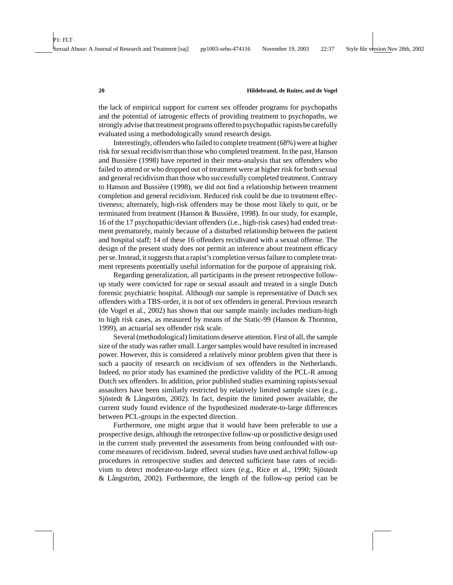the lack of empirical support for current sex offender programs for psychopaths and the potential of iatrogenic effects of providing treatment to psychopaths, we strongly advise that treatment programs offered to psychopathic rapists be carefully evaluated using a methodologically sound research design.

Interestingly, offenders who failed to complete treatment (68%) were at higher risk for sexual recidivism than those who completed treatment. In the past, Hanson and Bussière (1998) have reported in their meta-analysis that sex offenders who failed to attend or who dropped out of treatment were at higher risk for both sexual and general recidivism than those who successfully completed treatment. Contrary to Hanson and Bussière (1998), we did not find a relationship between treatment completion and general recidivism. Reduced risk could be due to treatment effectiveness; alternately, high-risk offenders may be those most likely to quit, or be terminated from treatment (Hanson  $&$  Bussière, 1998). In our study, for example, 16 of the 17 psychopathic/deviant offenders (i.e., high-risk cases) had ended treatment prematurely, mainly because of a disturbed relationship between the patient and hospital staff; 14 of these 16 offenders recidivated with a sexual offense. The design of the present study does not permit an inference about treatment efficacy per se. Instead, it suggests that a rapist's completion versus failure to complete treatment represents potentially useful information for the purpose of appraising risk.

Regarding generalization, all participants in the present retrospective followup study were convicted for rape or sexual assault and treated in a single Dutch forensic psychiatric hospital. Although our sample is representative of Dutch sex offenders with a TBS-order, it is not of sex offenders in general. Previous research (de Vogel et al., 2002) has shown that our sample mainly includes medium-high to high risk cases, as measured by means of the Static-99 (Hanson & Thornton, 1999), an actuarial sex offender risk scale.

Several (methodological) limitations deserve attention. First of all, the sample size of the study was rather small. Larger samples would have resulted in increased power. However, this is considered a relatively minor problem given that there is such a paucity of research on recidivism of sex offenders in the Netherlands. Indeed, no prior study has examined the predictive validity of the PCL-R among Dutch sex offenders. In addition, prior published studies examining rapists/sexual assaulters have been similarly restricted by relatively limited sample sizes (e.g., Sjöstedt & Långström, 2002). In fact, despite the limited power available, the current study found evidence of the hypothesized moderate-to-large differences between PCL-groups in the expected direction.

Furthermore, one might argue that it would have been preferable to use a prospective design, although the retrospective follow-up or postdictive design used in the current study prevented the assessments from being confounded with outcome measures of recidivism. Indeed, several studies have used archival follow-up procedures in retrospective studies and detected sufficient base rates of recidivism to detect moderate-to-large effect sizes (e.g., Rice et al., 1990; Sjöstedt & Långström, 2002). Furthermore, the length of the follow-up period can be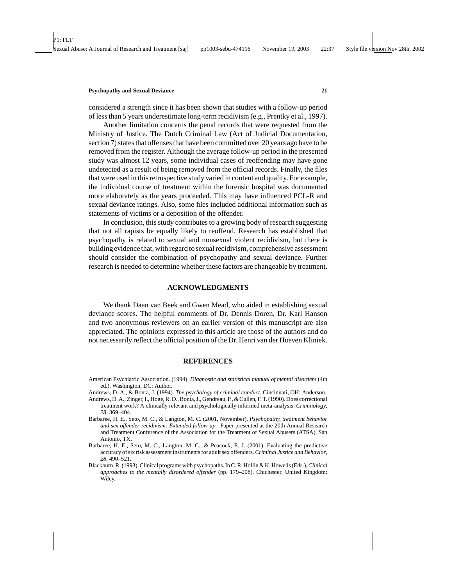#### **Psychopathy and Sexual Deviance 21** 21

considered a strength since it has been shown that studies with a follow-up period of less than 5 years underestimate long-term recidivism (e.g., Prentky et al., 1997).

Another limitation concerns the penal records that were requested from the Ministry of Justice. The Dutch Criminal Law (Act of Judicial Documentation, section 7) states that offenses that have been committed over 20 years ago have to be removed from the register. Although the average follow-up period in the presented study was almost 12 years, some individual cases of reoffending may have gone undetected as a result of being removed from the official records. Finally, the files that were used in this retrospective study varied in content and quality. For example, the individual course of treatment within the forensic hospital was documented more elaborately as the years proceeded. This may have influenced PCL-R and sexual deviance ratings. Also, some files included additional information such as statements of victims or a deposition of the offender.

In conclusion, this study contributes to a growing body of research suggesting that not all rapists be equally likely to reoffend. Research has established that psychopathy is related to sexual and nonsexual violent recidivism, but there is building evidence that, with regard to sexual recidivism, comprehensive assessment should consider the combination of psychopathy and sexual deviance. Further research is needed to determine whether these factors are changeable by treatment.

## **ACKNOWLEDGMENTS**

We thank Daan van Beek and Gwen Mead, who aided in establishing sexual deviance scores. The helpful comments of Dr. Dennis Doren, Dr. Karl Hanson and two anonymous reviewers on an earlier version of this manuscript are also appreciated. The opinions expressed in this article are those of the authors and do not necessarily reflect the official position of the Dr. Henri van der Hoeven Kliniek.

## **REFERENCES**

- American Psychiatric Association. (1994). *Diagnostic and statistical manual of mental disorders* (4th ed.). Washington, DC: Author.
- Andrews, D. A., & Bonta, J. (1994). *The psychology of criminal conduct*. Cincinnati, OH: Anderson.
- Andrews, D. A., Zinger, I., Hoge, R. D., Bonta, J., Gendreau, P., & Cullen, F. T. (1990). Does correctional treatment work? A clinically relevant and psychologically informed meta-analysis. *Criminology*, *28,* 369–404.
- Barbaree, H. E., Seto, M. C., & Langton, M. C. (2001, November). *Psychopathy, treatment behavior and sex offender recidivism: Extended follow-up.* Paper presented at the 20th Annual Research and Treatment Conference of the Association for the Treatment of Sexual Abusers (ATSA), San Antonio, TX.
- Barbaree, H. E., Seto, M. C., Langton, M. C., & Peacock, E. J. (2001). Evaluating the predictive accuracy of six risk assessment instruments for adult sex offenders.*Criminal Justice and Behavior*, *28,* 490–521.
- Blackburn, R. (1993). Clinical programs with psychopaths. In C. R. Hollin & K. Howells (Eds.),*Clinical approaches to the mentally disordered offender* (pp. 179–208). Chichester, United Kingdom: Wiley.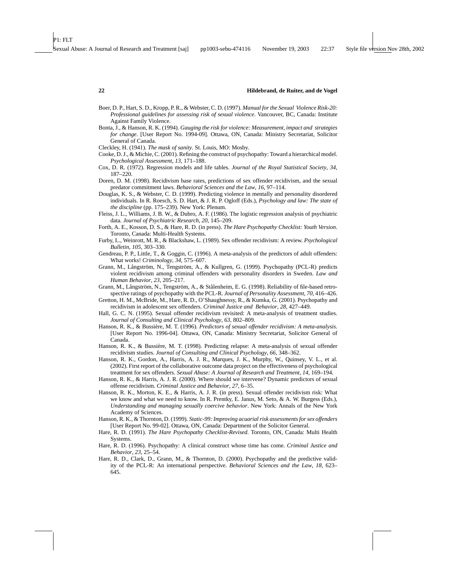- Boer, D. P., Hart, S. D., Kropp, P. R., & Webster, C. D. (1997). *Manual for the Sexual Violence Risk-20: Professional guidelines for assessing risk of sexual violence*. Vancouver, BC, Canada: Institute Against Family Violence.
- Bonta, J., & Hanson, R. K. (1994). *Gauging the risk for violence: Measurement, impact and strategies for change*. [User Report No. 1994-09]. Ottawa, ON, Canada: Ministry Secretariat, Solicitor General of Canada.
- Cleckley, H. (1941). *The mask of sanity*. St. Louis, MO: Mosby.
- Cooke, D. J., & Michie, C. (2001). Refining the construct of psychopathy: Toward a hierarchical model. *Psychological Assessment*, *13,* 171–188.
- Cox, D. R. (1972). Regression models and life tables. *Journal of the Royal Statistical Society*, *34,* 187–220.
- Doren, D. M. (1998). Recidivism base rates, predictions of sex offender recidivism, and the sexual predator commitment laws. *Behavioral Sciences and the Law*, *16,* 97–114.
- Douglas, K. S., & Webster, C. D. (1999). Predicting violence in mentally and personality disordered individuals. In R. Roesch, S. D. Hart, & J. R. P. Ogloff (Eds.), *Psychology and law: The state of the discipline* (pp. 175–239). New York: Plenum.
- Fleiss, J. L., Williams, J. B. W., & Dubro, A. F. (1986). The logistic regression analysis of psychiatric data. *Journal of Psychiatric Research*, *20,* 145–209.
- Forth, A. E., Kosson, D. S., & Hare, R. D. (in press). *The Hare Psychopathy Checklist: Youth Version*. Toronto, Canada: Multi-Health Systems.
- Furby, L., Weinrott, M. R., & Blackshaw, L. (1989). Sex offender recidivism: A review. *Psychological Bulletin*, *105,* 303–330.
- Gendreau, P. P., Little, T., & Goggin, C. (1996). A meta-analysis of the predictors of adult offenders: What works! *Criminology*, *34,* 575–607.
- Grann, M., Långström, N., Tengström, A., & Kullgren, G. (1999). Psychopathy (PCL-R) predicts violent recidivism among criminal offenders with personality disorders in Sweden. *Law and Human Behavior*, *23,* 205–217.
- Grann, M., Långström, N., Tengström, A., & Stålenheim, E. G. (1998). Reliability of file-based retrospective ratings of psychopathy with the PCL-R. *Journal of Personality Assessment*, *70,* 416–426.
- Gretton, H. M., McBride, M., Hare, R. D., O'Shaughnessy, R., & Kumka, G. (2001). Psychopathy and recidivism in adolescent sex offenders. *Criminal Justice and Behavior*, *28,* 427–449.
- Hall, G. C. N. (1995). Sexual offender recidivism revisited: A meta-analysis of treatment studies. *Journal of Consulting and Clinical Psychology*, *63,* 802–809.
- Hanson, R. K., & Bussière, M. T. (1996). *Predictors of sexual offender recidivism: A meta-analysis*. [User Report No. 1996-04]. Ottawa, ON, Canada: Ministry Secretariat, Solicitor General of Canada.
- Hanson, R. K., & Bussière, M. T. (1998). Predicting relapse: A meta-analysis of sexual offender recidivism studies. *Journal of Consulting and Clinical Psychology*, *66,* 348–362.
- Hanson, R. K., Gordon, A., Harris, A. J. R., Marques, J. K., Murphy, W., Quinsey, V. L., et al. (2002). First report of the collaborative outcome data project on the effectiveness of psychological treatment for sex offenders. *Sexual Abuse: A Journal of Research and Treatment*, *14,* 169–194.
- Hanson, R. K., & Harris, A. J. R. (2000). Where should we intervene? Dynamic predictors of sexual offense recidivism. *Criminal Justice and Behavior*, *27,* 6–35.
- Hanson, R. K., Morton, K. E., & Harris, A. J. R. (in press). Sexual offender recidivism risk: What we know and what we need to know. In R. Prentky, E. Janus, M. Seto, & A. W. Burgess (Eds.), *Understanding and managing sexually coercive behavior*. New York: Annals of the New York Academy of Sciences.
- Hanson, R. K., & Thornton, D. (1999). *Static-99: Improving acuarial risk assessments for sex offenders* [User Report No. 99-02]. Ottawa, ON, Canada: Department of the Solicitor General.
- Hare, R. D. (1991). *The Hare Psychopathy Checklist-Revised*. Toronto, ON, Canada: Multi Health Systems.
- Hare, R. D. (1996). Psychopathy: A clinical construct whose time has come. *Criminal Justice and Behavior*, *23,* 25–54.
- Hare, R. D., Clark, D., Grann, M., & Thornton, D. (2000). Psychopathy and the predictive validity of the PCL-R: An international perspective. *Behavioral Sciences and the Law*, *18,* 623– 645.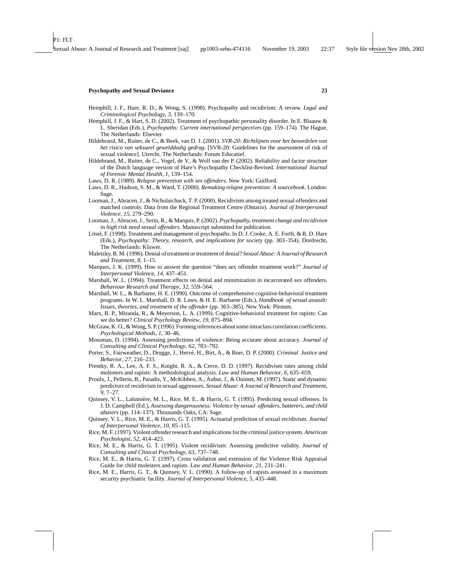#### **Psychopathy and Sexual Deviance 23** 23

- Hemphill, J. F., Hare, R. D., & Wong, S. (1998). Psychopathy and recidivism: A review. *Legal and Criminological Psychology*, *3,* 139–170.
- Hemphill, J. F., & Hart, S. D. (2002). Treatment of psychopathic personality disorder. In E. Blaauw & L. Sheridan (Eds.), *Psychopaths: Current international perspectives* (pp. 159–174). The Hague, The Netherlands: Elsevier.
- Hildebrand, M., Ruiter, de C., & Beek, van D. J. (2001). *SVR-20: Richtlijnen voor het beoordelen van het risico van seksueel gewelddadig gedrag*. [SVR-20: Guidelines for the assessment of risk of sexual violence]. Utrecht, The Netherlands: Forum Educatief.
- Hildebrand, M., Ruiter, de C., Vogel, de V., & Wolf van der P. (2002). Reliability and factor structure of the Dutch language version of Hare's Psychopathy Checklist-Revised. *International Journal of Forensic Mental Health*, *1,* 139–154.
- Laws, D. R. (1989). *Relapse prevention with sex offenders*. New York: Guilford.
- Laws, D. R., Hudson, S. M., & Ward, T. (2000). *Remaking relapse prevention: A sourcebook*. London: Sage.
- Looman, J., Abracen, J., & Nicholaichuck, T. P. (2000). Recidivism among treated sexual offenders and matched controls: Data from the Regional Treatment Centre (Ontario). *Journal of Interpersonal Violence*, *15,* 279–290.
- Looman, J., Abracen, J., Serin, R., & Marquis, P. (2002). *Psychopathy, treatment change and recidivism in high risk need sexual offenders*. Manuscript submitted for publication.
- Lösel, F. (1998). Treatment and management of psychopaths. In D. J. Cooke, A. E. Forth, & R. D. Hare (Eds.), *Psychopathy: Theory, research, and implications for society* (pp. 303–354). Dordrecht, The Netherlands: Kluwer.
- Maletzky, B. M. (1996). Denial of treatment or treatment of denial? *Sexual Abuse: A Journal of Research and Treatment*, *8,* 1–15.
- Marques, J. K. (1999). How to answer the question "does sex offender treatment work?" *Journal of Interpersonal Violence*, *14,* 437–451.
- Marshall, W. L. (1994). Treatment effects on denial and minimization in incarcerated sex offenders. *Behaviour Research and Therapy*, *32,* 559–564.
- Marshall, W. L., & Barbaree, H. E. (1990). Outcome of comprehensive cognitive-behavioral treatment programs. In W. L. Marshall, D. R. Laws, & H. E. Barbaree (Eds.), *Handbook of sexual assault: Issues, theories, and treatment of the offender* (pp. 363–385). New York: Plenum.
- Marx, B. P., Miranda, R., & Meyerson, L. A. (1999). Cognitive-behavioral treatment for rapists: Can we do better? *Clinical Psychology Review*, *19,* 875–894.
- McGraw, K. O., & Wong, S. P. (1996). Forming inferences about some intraclass correlation coefficients. *Psychological Methods*, *1,* 30–46.
- Mossman, D. (1994). Assessing predictions of violence: Being accurate about accuracy. *Journal of Consulting and Clinical Psychology*, *62,* 783–792.
- Porter, S., Fairweather, D., Drugge, J., Hervé, H., Birt, A., & Boer, D. P. (2000). *Criminal Justice and Behavior*, *27,* 216–233.
- Prentky, R. A., Lee, A. F. S., Knight, R. A., & Cerce, D. D. (1997). Recidivism rates among child molesters and rapists: A methodological analysis. *Law and Human Behavior*, *6,* 635–659.
- Proulx, J., Pellerin, B., Paradis, Y., McKibben, A., Aubut, J., & Ouimet, M. (1997). Static and dynamic predictors of recidivism in sexual aggressors. *Sexual Abuse: A Journal of Research and Treatment*, *9,* 7–27.
- Quinsey, V. L., Lalumière, M. L., Rice, M. E., & Harris, G. T. (1995). Predicting sexual offenses. In J. D. Campbell (Ed.), *Assessing dangerousness: Violence by sexual offenders, batterers, and child abusers* (pp. 114–137). Thousands Oaks, CA: Sage.
- Quinsey, V. L., Rice, M. E., & Harris, G. T. (1995). Actuarial prediction of sexual recidivism. *Journal of Interpersonal Violence*, *10,* 85–115.
- Rice, M. F. (1997). Violent offender research and implications for the criminal justice system. *American Psychologist*, *52,* 414–423.
- Rice, M. E., & Harris, G. T. (1995). Violent recidivism: Assessing predictive validity. *Journal of Consulting and Clinical Psychology*, *63,* 737–748.
- Rice, M. E., & Harris, G. T. (1997). Cross validation and extension of the Violence Risk Appraisal Guide for child molesters and rapists. *Law and Human Behavior*, *21,* 231–241.
- Rice, M. E., Harris, G. T., & Quinsey, V. L. (1990). A follow-up of rapists assessed in a maximum security psychiatric facility. *Journal of Interpersonal Violence*, *5,* 435–448.